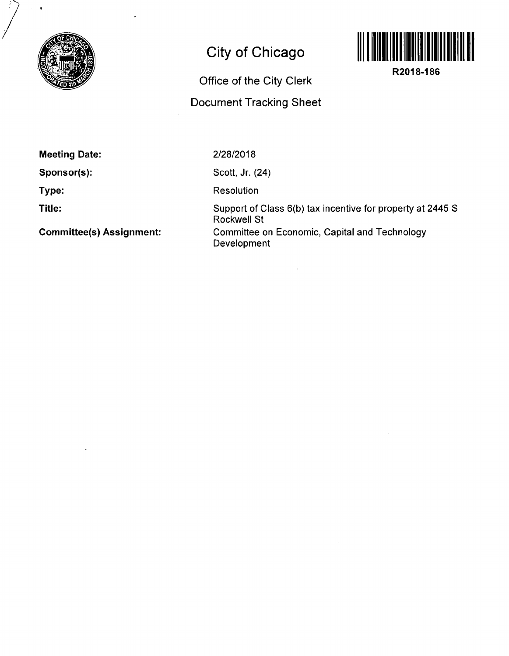

# **City of Chicago**

# Office of the City Clerk Document Tracking Sheet



**R2018-186** 

**Meeting Date:** 

**Sponsor(s):** 

**Type:** 

**Title:** 

**Committee(s) Assignment:** 

2/28/2018

Scott, Jr. (24)

Resolution

Support of Class 6(b) tax incentive for property at 2445 S Rockwell St Committee on Economic, Capital and Technology Development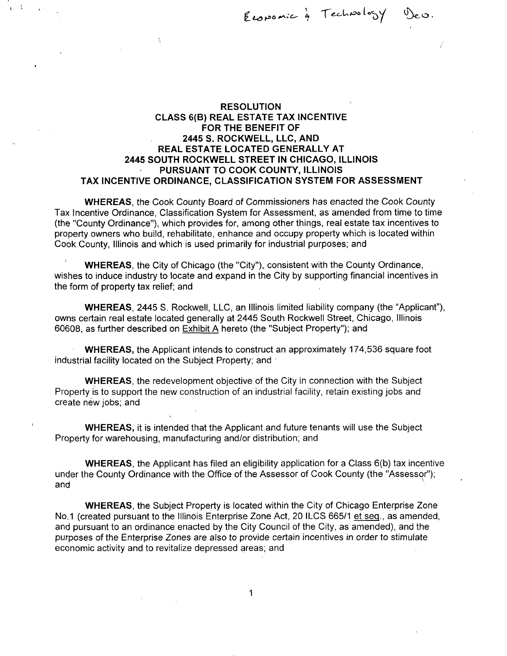Ť

## **RESOLUTION CLASS 6(B) REAL ESTATE TAX INCENTIVE FORTHE BENEFIT OF 2445 S. ROCKWELL, LLC, AND REAL ESTATE LOCATED GENERALLY AT 2445 SOUTH ROCKWELL STREET IN CHICAGO, ILLINOIS PURSUANT TO COOK COUNTY, ILLINOIS TAX INCENTIVE ORDINANCE, CLASSIFICATION SYSTEM FOR ASSESSMENT**

 $\frac{1}{2}$ 

WHEREAS, the Cook County Board of Commissioners has enacted the Cook County Tax incentive Ordinance, Classification System for Assessment, as amended from time to time (the "County Ordinance"), which provides for, among other things, real estate tax incentives to property owners who build, rehabilitate, enhance and occupy property which is located within Cook County, Illinois and which is used primarily for industrial purposes; and

WHEREAS, the City of Chicago (the "City"), consistent with the County Ordinance, wishes to induce industry to locate and expand in the City by supporting financial incentives in the form of property tax relief; and

WHEREAS, 2445 S. Rockwell, LLC, an Illinois limited liability company (the "Applicant"), owns certain real estate located generally at 2445 South Rockwell Street, Chicago, Illinois 60608, as further described on Exhibit A hereto (the "Subject Property"); and

WHEREAS, the Applicant intends to construct an approximately 174,536 square foot industrial facility located on the Subject Property; and

WHEREAS, the redevelopment objective of the City in connection with the Subject Property is to support the new construction of an industrial facility, retain existing jobs and create new jobs; and

WHEREAS, it is intended that the Applicant and future tenants will use the Subject Property for warehousing, manufacturing and/or distribution; and

WHEREAS, the Applicant has filed an eligibility application for a Class 6(b) tax incentive under the County Ordinance with the Office of the Assessor of Cook County (the "Assessor"); and

WHEREAS, the Subject Property is located within the City of Chicago Enterprise Zone No.1 (created pursuant to the Illinois Enterprise Zone Act, 20 ILCS 665/1 et seq., as amended, and pursuant to an ordinance enacted by the City Council of the City, as amended), and the purposes of the Enterprise Zones are also to provide certain incentives in order to stimulate economic activity and to revitalize depressed areas; and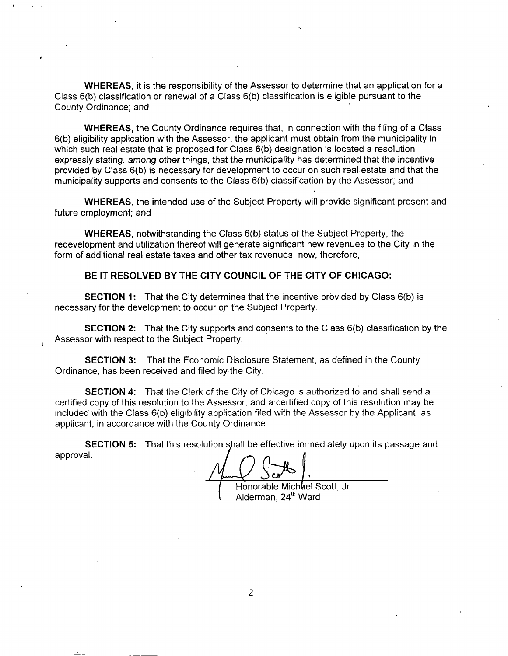WHEREAS, it is the responsibility of the Assessor to determine that an application for a Class 6(b) classification or renewal of a Class 6(b) classification is eligible pursuant to the County Ordinance; and

WHEREAS, the County Ordinance requires that, in connection with the filing of a Class 6(b) eligibility application with the Assessor, the applicant must obtain from the municipality in which such real estate that is proposed for Class 6(b) designation is located a resolution expressly stating, among other things, that the municipality has determined that the incentive provided by Class 6(b) is necessary for development to occur on such real estate and that the municipality supports and consents to the Class 6(b) classification by the Assessor; and

WHEREAS, the intended use of the Subject Property will provide significant present and future employment; and

WHEREAS, notwithstanding the Class 6(b) status of the Subject Property, the redevelopment and utilization thereof will generate significant new revenues to the City in the form of additional real estate taxes and other tax revenues; now, therefore,

**BE IT RESOLVED BY THE CITY COUNCIL OF THE CITY OF CHICAGO:** 

**SECTION 1:** That the City determines that the incentive provided by Class 6(b) is necessary for the development to occur on the Subject Property.

SECTION 2: That the City supports and consents to the Class 6(b) classification by the Assessor with respect to the Subject Property.

SECTION 3: That the Economic Disclosure Statement, as defined in the County Ordinance, has been received and filed by the City.

**SECTION 4:** That the Clerk of the City of Chicago is authorized to and shall send a certified copy of this resolution to the Assessor, and a certified copy of this resolution may be included with the Class 6(b) eligibility application filed with the Assessor by the Applicant, as applicant, in accordance with the County Ordinance.

SECTION 5: That this resolution shall be effective immediately upon its passage and approval.

Honorable Michael Scott, Jr. Alderman, 24<sup>th</sup> Ward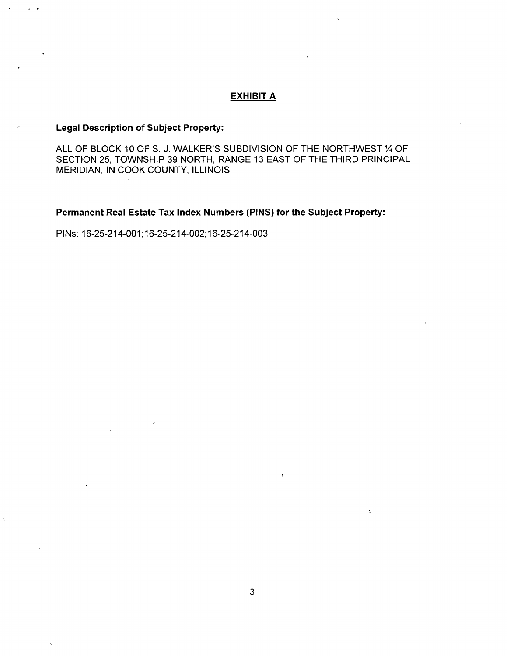### **EXHIBIT A**

### **Legal Description of Subject Property:**

ALL OF BLOCK 10 OF S. J. WALKER'S SUBDIVISION OF THE NORTHWEST % OF SECTION 25, TOWNSHIP 39 NORTH, RANGE 13 EAST OF THE THIRD PRINCIPAL MERIDIAN, IN COOK COUNTY, ILLINOIS

**Permanent Real Estate Tax Index Numbers (PINS) for the Subject Property:** 

PINs: 16-25-214-001; 16-25-214-002; 16-25-214-003

 $\ddot{i}$